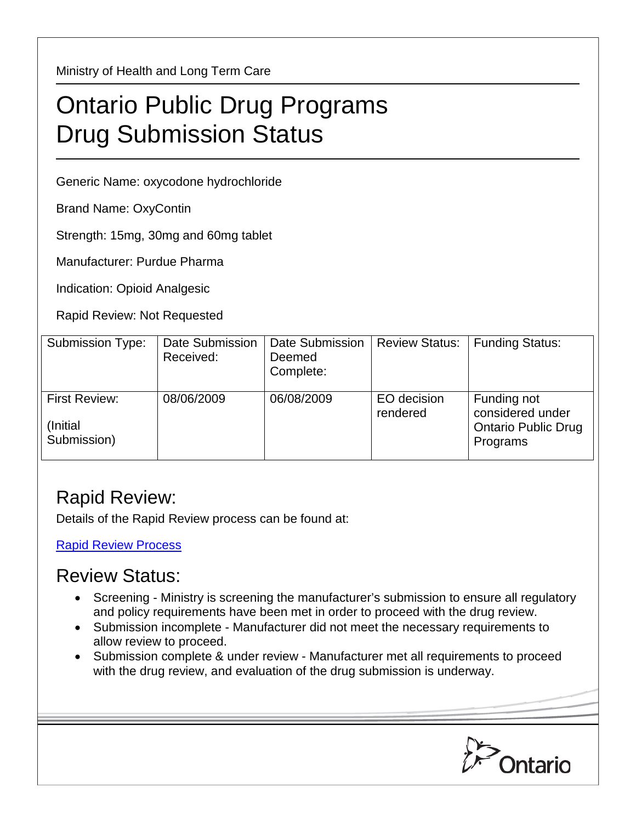Ministry of Health and Long Term Care

## Ontario Public Drug Programs Drug Submission Status

Generic Name: oxycodone hydrochloride

Brand Name: OxyContin

Strength: 15mg, 30mg and 60mg tablet

Manufacturer: Purdue Pharma

Indication: Opioid Analgesic

Rapid Review: Not Requested

| Submission Type:                                | <b>Date Submission</b><br>Received: | <b>Date Submission</b><br>Deemed<br>Complete: | <b>Review Status:</b>   | <b>Funding Status:</b>                                                    |
|-------------------------------------------------|-------------------------------------|-----------------------------------------------|-------------------------|---------------------------------------------------------------------------|
| <b>First Review:</b><br>(Initial<br>Submission) | 08/06/2009                          | 06/08/2009                                    | EO decision<br>rendered | Funding not<br>considered under<br><b>Ontario Public Drug</b><br>Programs |

## Rapid Review:

Details of the Rapid Review process can be found at:

[Rapid Review Process](http://www.health.gov.on.ca/en/pro/programs/drugs/drug_submissions/rapid_review_process.aspx)

## Review Status:

- Screening Ministry is screening the manufacturer's submission to ensure all regulatory and policy requirements have been met in order to proceed with the drug review.
- Submission incomplete Manufacturer did not meet the necessary requirements to allow review to proceed.
- Submission complete & under review Manufacturer met all requirements to proceed with the drug review, and evaluation of the drug submission is underway.